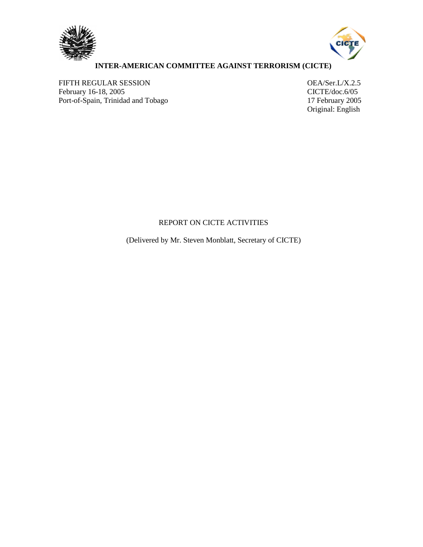



## **INTER-AMERICAN COMMITTEE AGAINST TERRORISM (CICTE)**

FIFTH REGULAR SESSION<br>
February 16-18, 2005<br>
CICTE/doc.6/05 February 16-18, 2005<br>
Port-of-Spain, Trinidad and Tobago<br>
17 February 2005 Port-of-Spain, Trinidad and Tobago

Original: English

## REPORT ON CICTE ACTIVITIES

(Delivered by Mr. Steven Monblatt, Secretary of CICTE)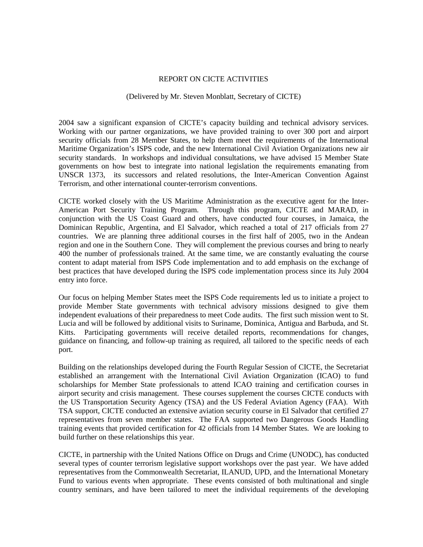## REPORT ON CICTE ACTIVITIES

## (Delivered by Mr. Steven Monblatt, Secretary of CICTE)

2004 saw a significant expansion of CICTE's capacity building and technical advisory services. Working with our partner organizations, we have provided training to over 300 port and airport security officials from 28 Member States, to help them meet the requirements of the International Maritime Organization's ISPS code, and the new International Civil Aviation Organizations new air security standards. In workshops and individual consultations, we have advised 15 Member State governments on how best to integrate into national legislation the requirements emanating from UNSCR 1373, its successors and related resolutions, the Inter-American Convention Against Terrorism, and other international counter-terrorism conventions.

CICTE worked closely with the US Maritime Administration as the executive agent for the Inter-American Port Security Training Program. Through this program, CICTE and MARAD, in conjunction with the US Coast Guard and others, have conducted four courses, in Jamaica, the Dominican Republic, Argentina, and El Salvador, which reached a total of 217 officials from 27 countries. We are planning three additional courses in the first half of 2005, two in the Andean region and one in the Southern Cone. They will complement the previous courses and bring to nearly 400 the number of professionals trained. At the same time, we are constantly evaluating the course content to adapt material from ISPS Code implementation and to add emphasis on the exchange of best practices that have developed during the ISPS code implementation process since its July 2004 entry into force.

Our focus on helping Member States meet the ISPS Code requirements led us to initiate a project to provide Member State governments with technical advisory missions designed to give them independent evaluations of their preparedness to meet Code audits. The first such mission went to St. Lucia and will be followed by additional visits to Suriname, Dominica, Antigua and Barbuda, and St. Kitts. Participating governments will receive detailed reports, recommendations for changes, guidance on financing, and follow-up training as required, all tailored to the specific needs of each port.

Building on the relationships developed during the Fourth Regular Session of CICTE, the Secretariat established an arrangement with the International Civil Aviation Organization (ICAO) to fund scholarships for Member State professionals to attend ICAO training and certification courses in airport security and crisis management. These courses supplement the courses CICTE conducts with the US Transportation Security Agency (TSA) and the US Federal Aviation Agency (FAA). With TSA support, CICTE conducted an extensive aviation security course in El Salvador that certified 27 representatives from seven member states. The FAA supported two Dangerous Goods Handling training events that provided certification for 42 officials from 14 Member States. We are looking to build further on these relationships this year.

CICTE, in partnership with the United Nations Office on Drugs and Crime (UNODC), has conducted several types of counter terrorism legislative support workshops over the past year. We have added representatives from the Commonwealth Secretariat, ILANUD, UPD, and the International Monetary Fund to various events when appropriate. These events consisted of both multinational and single country seminars, and have been tailored to meet the individual requirements of the developing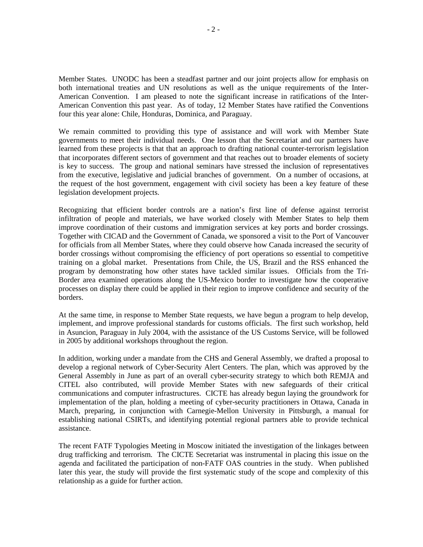Member States. UNODC has been a steadfast partner and our joint projects allow for emphasis on both international treaties and UN resolutions as well as the unique requirements of the Inter-American Convention. I am pleased to note the significant increase in ratifications of the Inter-American Convention this past year. As of today, 12 Member States have ratified the Conventions four this year alone: Chile, Honduras, Dominica, and Paraguay.

We remain committed to providing this type of assistance and will work with Member State governments to meet their individual needs. One lesson that the Secretariat and our partners have learned from these projects is that that an approach to drafting national counter-terrorism legislation that incorporates different sectors of government and that reaches out to broader elements of society is key to success. The group and national seminars have stressed the inclusion of representatives from the executive, legislative and judicial branches of government. On a number of occasions, at the request of the host government, engagement with civil society has been a key feature of these legislation development projects.

Recognizing that efficient border controls are a nation's first line of defense against terrorist infiltration of people and materials, we have worked closely with Member States to help them improve coordination of their customs and immigration services at key ports and border crossings. Together with CICAD and the Government of Canada, we sponsored a visit to the Port of Vancouver for officials from all Member States, where they could observe how Canada increased the security of border crossings without compromising the efficiency of port operations so essential to competitive training on a global market. Presentations from Chile, the US, Brazil and the RSS enhanced the program by demonstrating how other states have tackled similar issues. Officials from the Tri-Border area examined operations along the US-Mexico border to investigate how the cooperative processes on display there could be applied in their region to improve confidence and security of the borders.

At the same time, in response to Member State requests, we have begun a program to help develop, implement, and improve professional standards for customs officials. The first such workshop, held in Asuncion, Paraguay in July 2004, with the assistance of the US Customs Service, will be followed in 2005 by additional workshops throughout the region.

In addition, working under a mandate from the CHS and General Assembly, we drafted a proposal to develop a regional network of Cyber-Security Alert Centers. The plan, which was approved by the General Assembly in June as part of an overall cyber-security strategy to which both REMJA and CITEL also contributed, will provide Member States with new safeguards of their critical communications and computer infrastructures. CICTE has already begun laying the groundwork for implementation of the plan, holding a meeting of cyber-security practitioners in Ottawa, Canada in March, preparing, in conjunction with Carnegie-Mellon University in Pittsburgh, a manual for establishing national CSIRTs, and identifying potential regional partners able to provide technical assistance.

The recent FATF Typologies Meeting in Moscow initiated the investigation of the linkages between drug trafficking and terrorism. The CICTE Secretariat was instrumental in placing this issue on the agenda and facilitated the participation of non-FATF OAS countries in the study. When published later this year, the study will provide the first systematic study of the scope and complexity of this relationship as a guide for further action.